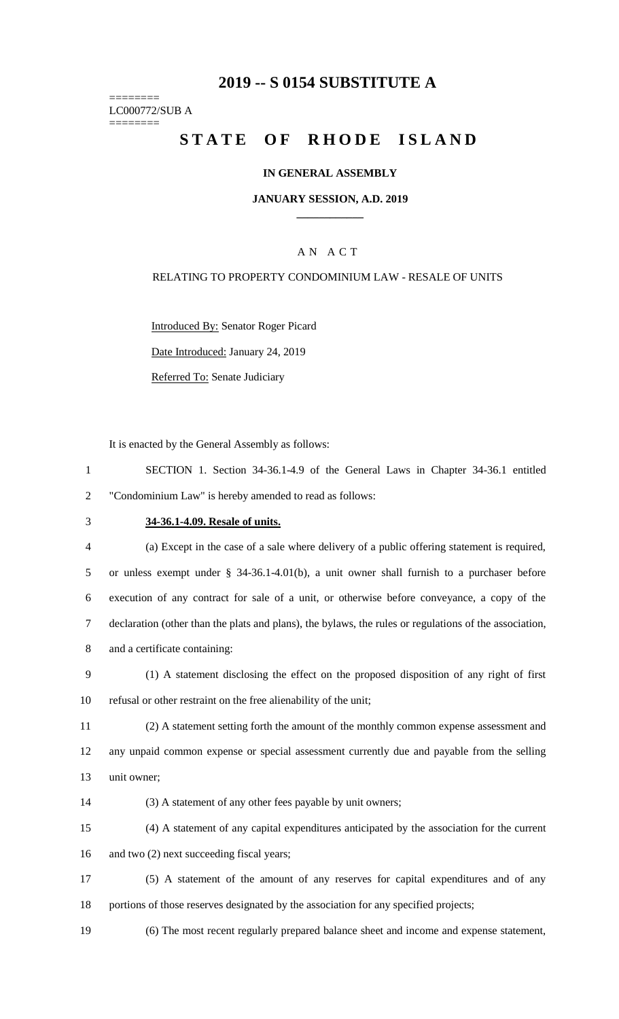## **2019 -- S 0154 SUBSTITUTE A**

======== LC000772/SUB A ========

# STATE OF RHODE ISLAND

### **IN GENERAL ASSEMBLY**

### **JANUARY SESSION, A.D. 2019 \_\_\_\_\_\_\_\_\_\_\_\_**

## A N A C T

### RELATING TO PROPERTY CONDOMINIUM LAW - RESALE OF UNITS

Introduced By: Senator Roger Picard Date Introduced: January 24, 2019 Referred To: Senate Judiciary

It is enacted by the General Assembly as follows:

|                                                              | SECTION 1. Section 34-36.1-4.9 of the General Laws in Chapter 34-36.1 entitled |  |  |  |  |  |  |  |  |
|--------------------------------------------------------------|--------------------------------------------------------------------------------|--|--|--|--|--|--|--|--|
| "Condominium Law" is hereby amended to read as follows:<br>2 |                                                                                |  |  |  |  |  |  |  |  |

## 3 **34-36.1-4.09. Resale of units.**

 (a) Except in the case of a sale where delivery of a public offering statement is required, or unless exempt under § 34-36.1-4.01(b), a unit owner shall furnish to a purchaser before execution of any contract for sale of a unit, or otherwise before conveyance, a copy of the declaration (other than the plats and plans), the bylaws, the rules or regulations of the association, and a certificate containing:

9 (1) A statement disclosing the effect on the proposed disposition of any right of first 10 refusal or other restraint on the free alienability of the unit;

11 (2) A statement setting forth the amount of the monthly common expense assessment and 12 any unpaid common expense or special assessment currently due and payable from the selling 13 unit owner;

14 (3) A statement of any other fees payable by unit owners;

15 (4) A statement of any capital expenditures anticipated by the association for the current 16 and two (2) next succeeding fiscal years;

17 (5) A statement of the amount of any reserves for capital expenditures and of any 18 portions of those reserves designated by the association for any specified projects;

19 (6) The most recent regularly prepared balance sheet and income and expense statement,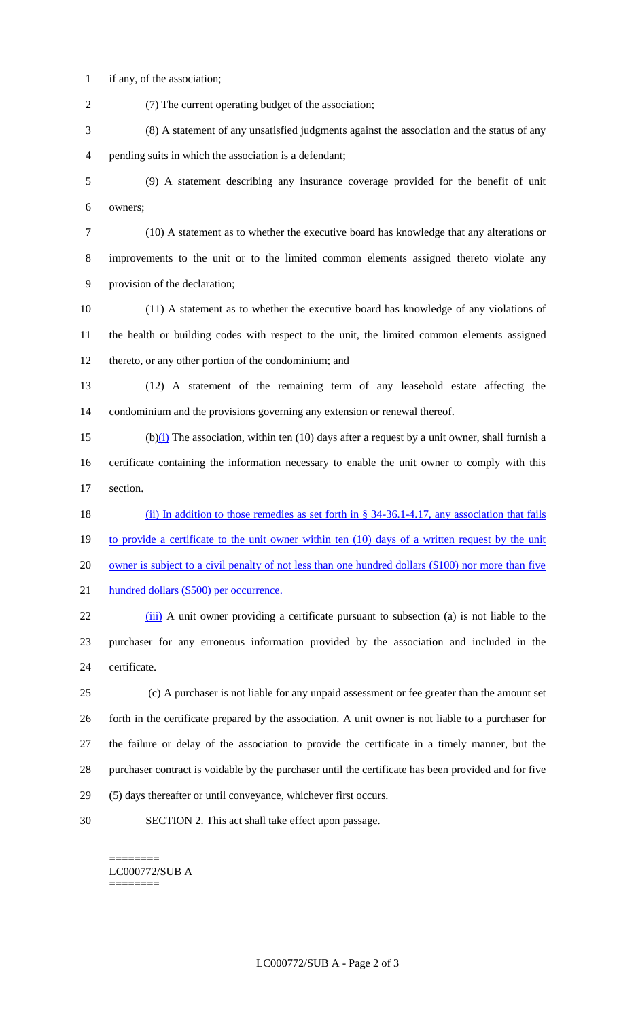if any, of the association;

 (7) The current operating budget of the association; (8) A statement of any unsatisfied judgments against the association and the status of any pending suits in which the association is a defendant; (9) A statement describing any insurance coverage provided for the benefit of unit owners; (10) A statement as to whether the executive board has knowledge that any alterations or improvements to the unit or to the limited common elements assigned thereto violate any provision of the declaration; (11) A statement as to whether the executive board has knowledge of any violations of the health or building codes with respect to the unit, the limited common elements assigned thereto, or any other portion of the condominium; and (12) A statement of the remaining term of any leasehold estate affecting the condominium and the provisions governing any extension or renewal thereof.

15 (b) $(i)$  The association, within ten (10) days after a request by a unit owner, shall furnish a certificate containing the information necessary to enable the unit owner to comply with this section.

18 (ii) In addition to those remedies as set forth in § 34-36.1-4.17, any association that fails 19 to provide a certificate to the unit owner within ten (10) days of a written request by the unit 20 owner is subject to a civil penalty of not less than one hundred dollars (\$100) nor more than five hundred dollars (\$500) per occurrence.

22 (iii) A unit owner providing a certificate pursuant to subsection (a) is not liable to the purchaser for any erroneous information provided by the association and included in the certificate.

 (c) A purchaser is not liable for any unpaid assessment or fee greater than the amount set forth in the certificate prepared by the association. A unit owner is not liable to a purchaser for the failure or delay of the association to provide the certificate in a timely manner, but the purchaser contract is voidable by the purchaser until the certificate has been provided and for five (5) days thereafter or until conveyance, whichever first occurs.

SECTION 2. This act shall take effect upon passage.

#### ======== LC000772/SUB A ========